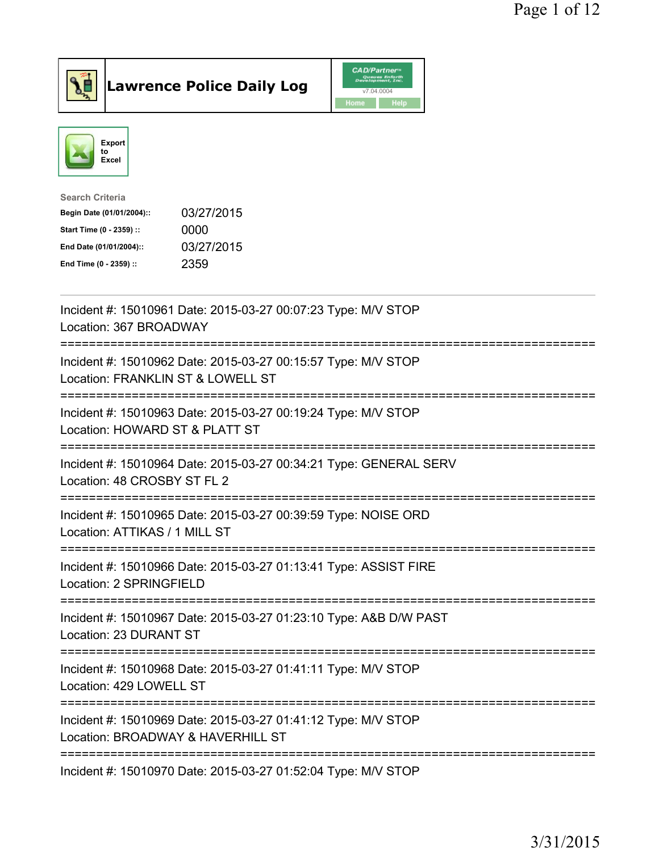

**Lawrence Police Daily Log** CAD/Partner



| <b>Search Criteria</b>    |            |
|---------------------------|------------|
| Begin Date (01/01/2004):: | 03/27/2015 |
| Start Time (0 - 2359) ::  | 0000       |
| End Date (01/01/2004)::   | 03/27/2015 |
| End Time (0 - 2359) ::    | 2359       |
|                           |            |

| Incident #: 15010961 Date: 2015-03-27 00:07:23 Type: M/V STOP<br>Location: 367 BROADWAY                                          |
|----------------------------------------------------------------------------------------------------------------------------------|
| Incident #: 15010962 Date: 2015-03-27 00:15:57 Type: M/V STOP<br>Location: FRANKLIN ST & LOWELL ST<br>========================== |
| Incident #: 15010963 Date: 2015-03-27 00:19:24 Type: M/V STOP<br>Location: HOWARD ST & PLATT ST                                  |
| Incident #: 15010964 Date: 2015-03-27 00:34:21 Type: GENERAL SERV<br>Location: 48 CROSBY ST FL 2                                 |
| Incident #: 15010965 Date: 2015-03-27 00:39:59 Type: NOISE ORD<br>Location: ATTIKAS / 1 MILL ST<br>.--------------------         |
| Incident #: 15010966 Date: 2015-03-27 01:13:41 Type: ASSIST FIRE<br>Location: 2 SPRINGFIELD                                      |
| Incident #: 15010967 Date: 2015-03-27 01:23:10 Type: A&B D/W PAST<br>Location: 23 DURANT ST                                      |
| Incident #: 15010968 Date: 2015-03-27 01:41:11 Type: M/V STOP<br>Location: 429 LOWELL ST                                         |
| Incident #: 15010969 Date: 2015-03-27 01:41:12 Type: M/V STOP<br>Location: BROADWAY & HAVERHILL ST                               |
| Incident #: 15010970 Date: 2015-03-27 01:52:04 Type: M/V STOP                                                                    |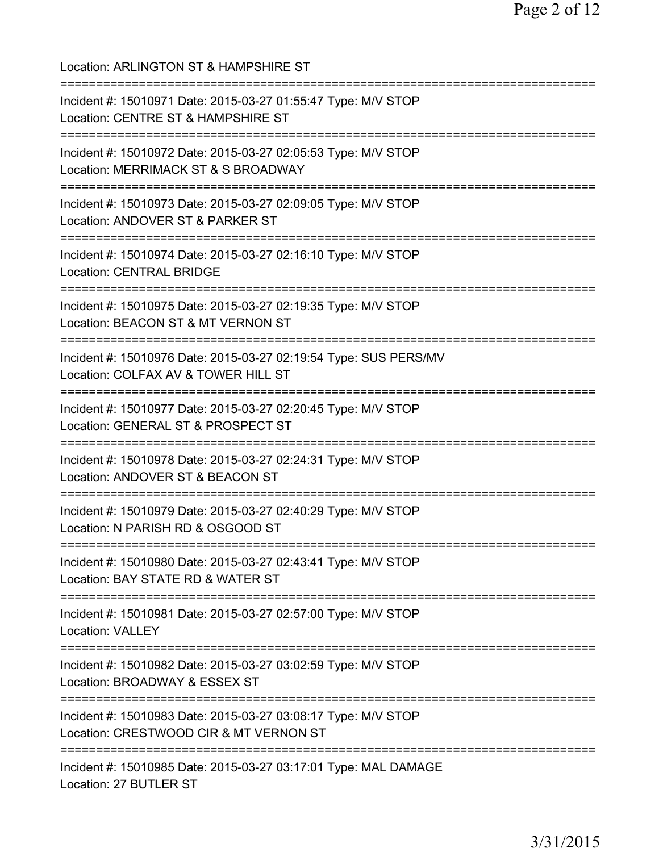| Location: ARLINGTON ST & HAMPSHIRE ST<br>===================================                                                                                                             |
|------------------------------------------------------------------------------------------------------------------------------------------------------------------------------------------|
| Incident #: 15010971 Date: 2015-03-27 01:55:47 Type: M/V STOP<br>Location: CENTRE ST & HAMPSHIRE ST                                                                                      |
| Incident #: 15010972 Date: 2015-03-27 02:05:53 Type: M/V STOP<br>Location: MERRIMACK ST & S BROADWAY<br>==================================                                               |
| Incident #: 15010973 Date: 2015-03-27 02:09:05 Type: M/V STOP<br>Location: ANDOVER ST & PARKER ST<br>==============================<br>=============================<br>================ |
| Incident #: 15010974 Date: 2015-03-27 02:16:10 Type: M/V STOP<br><b>Location: CENTRAL BRIDGE</b>                                                                                         |
| Incident #: 15010975 Date: 2015-03-27 02:19:35 Type: M/V STOP<br>Location: BEACON ST & MT VERNON ST                                                                                      |
| Incident #: 15010976 Date: 2015-03-27 02:19:54 Type: SUS PERS/MV<br>Location: COLFAX AV & TOWER HILL ST                                                                                  |
| Incident #: 15010977 Date: 2015-03-27 02:20:45 Type: M/V STOP<br>Location: GENERAL ST & PROSPECT ST<br>----------------------                                                            |
| Incident #: 15010978 Date: 2015-03-27 02:24:31 Type: M/V STOP<br>Location: ANDOVER ST & BEACON ST<br>=====================                                                               |
| Incident #: 15010979 Date: 2015-03-27 02:40:29 Type: M/V STOP<br>Location: N PARISH RD & OSGOOD ST                                                                                       |
| Incident #: 15010980 Date: 2015-03-27 02:43:41 Type: M/V STOP<br>Location: BAY STATE RD & WATER ST                                                                                       |
| Incident #: 15010981 Date: 2015-03-27 02:57:00 Type: M/V STOP<br><b>Location: VALLEY</b>                                                                                                 |
| Incident #: 15010982 Date: 2015-03-27 03:02:59 Type: M/V STOP<br>Location: BROADWAY & ESSEX ST                                                                                           |
| Incident #: 15010983 Date: 2015-03-27 03:08:17 Type: M/V STOP<br>Location: CRESTWOOD CIR & MT VERNON ST                                                                                  |
| :===================================<br>Incident #: 15010985 Date: 2015-03-27 03:17:01 Type: MAL DAMAGE<br>Location: 27 BUTLER ST                                                        |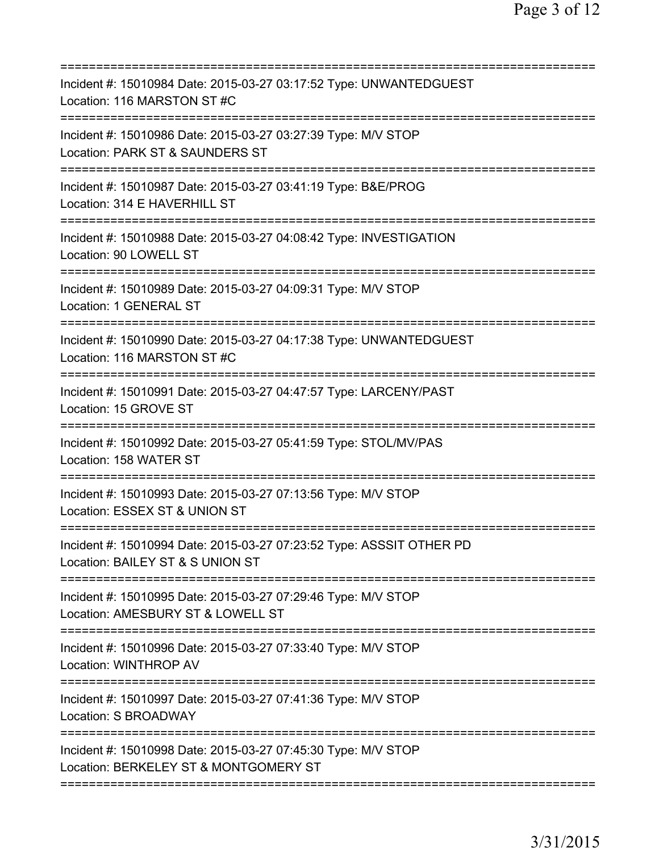| Incident #: 15010984 Date: 2015-03-27 03:17:52 Type: UNWANTEDGUEST<br>Location: 116 MARSTON ST #C                     |
|-----------------------------------------------------------------------------------------------------------------------|
| Incident #: 15010986 Date: 2015-03-27 03:27:39 Type: M/V STOP<br>Location: PARK ST & SAUNDERS ST                      |
| Incident #: 15010987 Date: 2015-03-27 03:41:19 Type: B&E/PROG<br>Location: 314 E HAVERHILL ST                         |
| Incident #: 15010988 Date: 2015-03-27 04:08:42 Type: INVESTIGATION<br>Location: 90 LOWELL ST                          |
| Incident #: 15010989 Date: 2015-03-27 04:09:31 Type: M/V STOP<br><b>Location: 1 GENERAL ST</b>                        |
| Incident #: 15010990 Date: 2015-03-27 04:17:38 Type: UNWANTEDGUEST<br>Location: 116 MARSTON ST #C                     |
| Incident #: 15010991 Date: 2015-03-27 04:47:57 Type: LARCENY/PAST<br>Location: 15 GROVE ST<br>======================= |
| Incident #: 15010992 Date: 2015-03-27 05:41:59 Type: STOL/MV/PAS<br>Location: 158 WATER ST                            |
| Incident #: 15010993 Date: 2015-03-27 07:13:56 Type: M/V STOP<br>Location: ESSEX ST & UNION ST                        |
| Incident #: 15010994 Date: 2015-03-27 07:23:52 Type: ASSSIT OTHER PD<br>Location: BAILEY ST & S UNION ST              |
| Incident #: 15010995 Date: 2015-03-27 07:29:46 Type: M/V STOP<br>Location: AMESBURY ST & LOWELL ST                    |
| Incident #: 15010996 Date: 2015-03-27 07:33:40 Type: M/V STOP<br><b>Location: WINTHROP AV</b>                         |
| Incident #: 15010997 Date: 2015-03-27 07:41:36 Type: M/V STOP<br>Location: S BROADWAY                                 |
| Incident #: 15010998 Date: 2015-03-27 07:45:30 Type: M/V STOP<br>Location: BERKELEY ST & MONTGOMERY ST                |
|                                                                                                                       |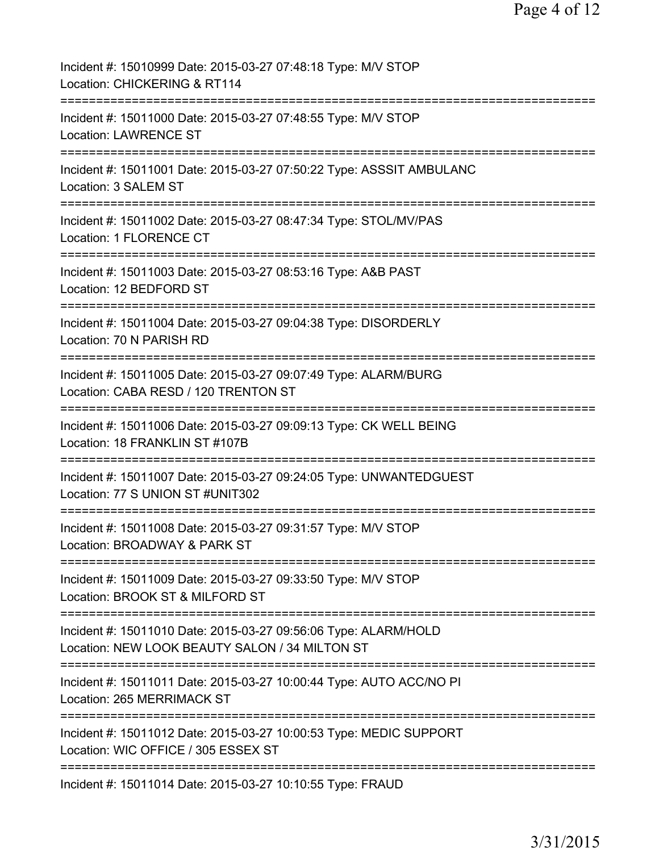| Incident #: 15010999 Date: 2015-03-27 07:48:18 Type: M/V STOP<br>Location: CHICKERING & RT114                                           |
|-----------------------------------------------------------------------------------------------------------------------------------------|
| Incident #: 15011000 Date: 2015-03-27 07:48:55 Type: M/V STOP<br><b>Location: LAWRENCE ST</b>                                           |
| Incident #: 15011001 Date: 2015-03-27 07:50:22 Type: ASSSIT AMBULANC<br>Location: 3 SALEM ST                                            |
| Incident #: 15011002 Date: 2015-03-27 08:47:34 Type: STOL/MV/PAS<br>Location: 1 FLORENCE CT                                             |
| Incident #: 15011003 Date: 2015-03-27 08:53:16 Type: A&B PAST<br>Location: 12 BEDFORD ST                                                |
| Incident #: 15011004 Date: 2015-03-27 09:04:38 Type: DISORDERLY<br>Location: 70 N PARISH RD                                             |
| Incident #: 15011005 Date: 2015-03-27 09:07:49 Type: ALARM/BURG<br>Location: CABA RESD / 120 TRENTON ST<br>============================ |
| Incident #: 15011006 Date: 2015-03-27 09:09:13 Type: CK WELL BEING<br>Location: 18 FRANKLIN ST #107B                                    |
| Incident #: 15011007 Date: 2015-03-27 09:24:05 Type: UNWANTEDGUEST<br>Location: 77 S UNION ST #UNIT302                                  |
| Incident #: 15011008 Date: 2015-03-27 09:31:57 Type: M/V STOP<br>Location: BROADWAY & PARK ST                                           |
| Incident #: 15011009 Date: 2015-03-27 09:33:50 Type: M/V STOP<br>Location: BROOK ST & MILFORD ST                                        |
| Incident #: 15011010 Date: 2015-03-27 09:56:06 Type: ALARM/HOLD<br>Location: NEW LOOK BEAUTY SALON / 34 MILTON ST                       |
| Incident #: 15011011 Date: 2015-03-27 10:00:44 Type: AUTO ACC/NO PI<br>Location: 265 MERRIMACK ST                                       |
| Incident #: 15011012 Date: 2015-03-27 10:00:53 Type: MEDIC SUPPORT<br>Location: WIC OFFICE / 305 ESSEX ST                               |
| Incident #: 15011014 Date: 2015-03-27 10:10:55 Type: FRAUD                                                                              |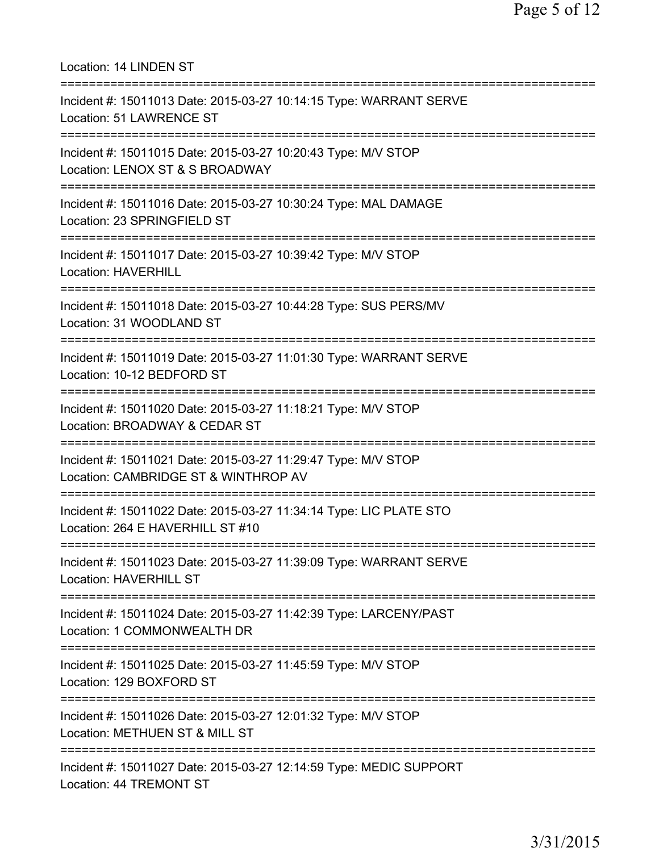Location: 14 LINDEN ST =========================================================================== Incident #: 15011013 Date: 2015-03-27 10:14:15 Type: WARRANT SERVE Location: 51 LAWRENCE ST =========================================================================== Incident #: 15011015 Date: 2015-03-27 10:20:43 Type: M/V STOP Location: LENOX ST & S BROADWAY =========================================================================== Incident #: 15011016 Date: 2015-03-27 10:30:24 Type: MAL DAMAGE Location: 23 SPRINGFIELD ST =========================================================================== Incident #: 15011017 Date: 2015-03-27 10:39:42 Type: M/V STOP Location: HAVERHILL =========================================================================== Incident #: 15011018 Date: 2015-03-27 10:44:28 Type: SUS PERS/MV Location: 31 WOODLAND ST =========================================================================== Incident #: 15011019 Date: 2015-03-27 11:01:30 Type: WARRANT SERVE Location: 10-12 BEDFORD ST =========================================================================== Incident #: 15011020 Date: 2015-03-27 11:18:21 Type: M/V STOP Location: BROADWAY & CEDAR ST =========================================================================== Incident #: 15011021 Date: 2015-03-27 11:29:47 Type: M/V STOP Location: CAMBRIDGE ST & WINTHROP AV =========================================================================== Incident #: 15011022 Date: 2015-03-27 11:34:14 Type: LIC PLATE STO Location: 264 E HAVERHILL ST #10 =========================================================================== Incident #: 15011023 Date: 2015-03-27 11:39:09 Type: WARRANT SERVE Location: HAVERHILL ST =========================================================================== Incident #: 15011024 Date: 2015-03-27 11:42:39 Type: LARCENY/PAST Location: 1 COMMONWEALTH DR =========================================================================== Incident #: 15011025 Date: 2015-03-27 11:45:59 Type: M/V STOP Location: 129 BOXFORD ST =========================================================================== Incident #: 15011026 Date: 2015-03-27 12:01:32 Type: M/V STOP Location: METHUEN ST & MILL ST =========================================================================== Incident #: 15011027 Date: 2015-03-27 12:14:59 Type: MEDIC SUPPORT Location: 44 TREMONT ST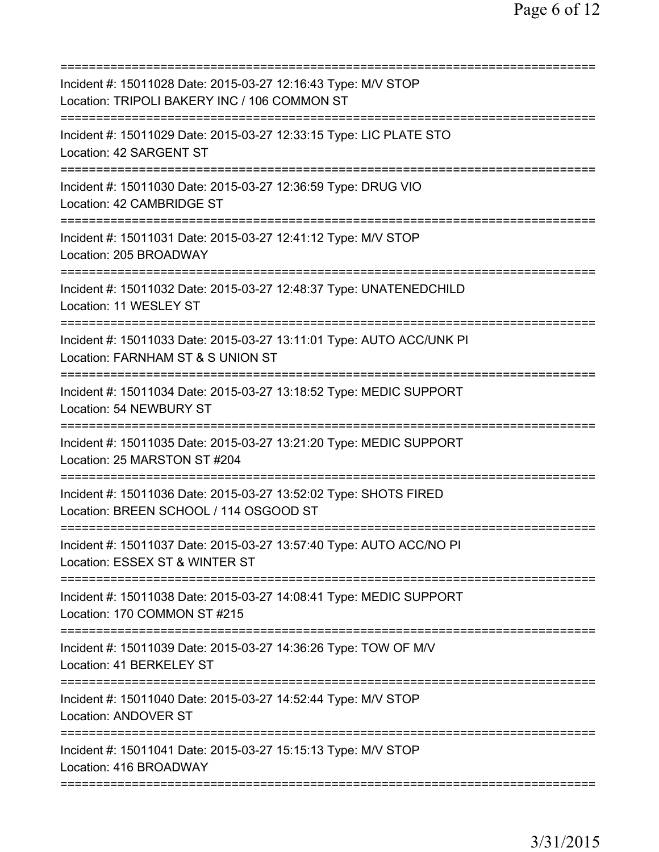| Incident #: 15011028 Date: 2015-03-27 12:16:43 Type: M/V STOP<br>Location: TRIPOLI BAKERY INC / 106 COMMON ST            |
|--------------------------------------------------------------------------------------------------------------------------|
| Incident #: 15011029 Date: 2015-03-27 12:33:15 Type: LIC PLATE STO<br>Location: 42 SARGENT ST                            |
| Incident #: 15011030 Date: 2015-03-27 12:36:59 Type: DRUG VIO<br>Location: 42 CAMBRIDGE ST                               |
| Incident #: 15011031 Date: 2015-03-27 12:41:12 Type: M/V STOP<br>Location: 205 BROADWAY                                  |
| Incident #: 15011032 Date: 2015-03-27 12:48:37 Type: UNATENEDCHILD<br>Location: 11 WESLEY ST                             |
| Incident #: 15011033 Date: 2015-03-27 13:11:01 Type: AUTO ACC/UNK PI<br>Location: FARNHAM ST & S UNION ST                |
| ===========<br>Incident #: 15011034 Date: 2015-03-27 13:18:52 Type: MEDIC SUPPORT<br>Location: 54 NEWBURY ST             |
| Incident #: 15011035 Date: 2015-03-27 13:21:20 Type: MEDIC SUPPORT<br>Location: 25 MARSTON ST #204                       |
| Incident #: 15011036 Date: 2015-03-27 13:52:02 Type: SHOTS FIRED<br>Location: BREEN SCHOOL / 114 OSGOOD ST               |
| Incident #: 15011037 Date: 2015-03-27 13:57:40 Type: AUTO ACC/NO PI<br>Location: ESSEX ST & WINTER ST                    |
| ==================<br>Incident #: 15011038 Date: 2015-03-27 14:08:41 Type: MEDIC SUPPORT<br>Location: 170 COMMON ST #215 |
| Incident #: 15011039 Date: 2015-03-27 14:36:26 Type: TOW OF M/V<br>Location: 41 BERKELEY ST                              |
| Incident #: 15011040 Date: 2015-03-27 14:52:44 Type: M/V STOP<br><b>Location: ANDOVER ST</b>                             |
| Incident #: 15011041 Date: 2015-03-27 15:15:13 Type: M/V STOP<br>Location: 416 BROADWAY                                  |
|                                                                                                                          |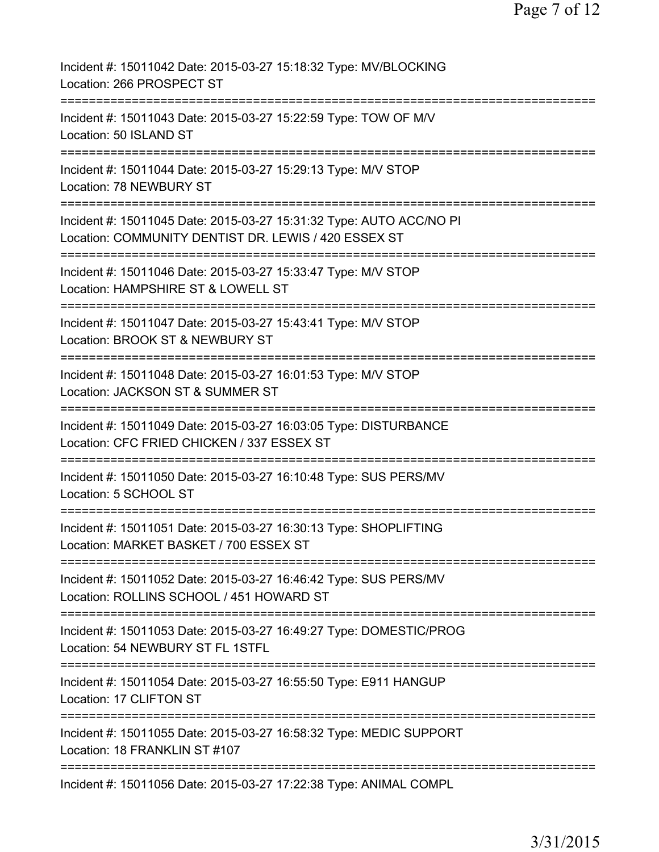| Incident #: 15011042 Date: 2015-03-27 15:18:32 Type: MV/BLOCKING<br>Location: 266 PROSPECT ST                               |
|-----------------------------------------------------------------------------------------------------------------------------|
| Incident #: 15011043 Date: 2015-03-27 15:22:59 Type: TOW OF M/V<br>Location: 50 ISLAND ST                                   |
| Incident #: 15011044 Date: 2015-03-27 15:29:13 Type: M/V STOP<br>Location: 78 NEWBURY ST                                    |
| Incident #: 15011045 Date: 2015-03-27 15:31:32 Type: AUTO ACC/NO PI<br>Location: COMMUNITY DENTIST DR. LEWIS / 420 ESSEX ST |
| Incident #: 15011046 Date: 2015-03-27 15:33:47 Type: M/V STOP<br>Location: HAMPSHIRE ST & LOWELL ST                         |
| Incident #: 15011047 Date: 2015-03-27 15:43:41 Type: M/V STOP<br>Location: BROOK ST & NEWBURY ST                            |
| Incident #: 15011048 Date: 2015-03-27 16:01:53 Type: M/V STOP<br>Location: JACKSON ST & SUMMER ST<br>==========             |
| Incident #: 15011049 Date: 2015-03-27 16:03:05 Type: DISTURBANCE<br>Location: CFC FRIED CHICKEN / 337 ESSEX ST              |
| Incident #: 15011050 Date: 2015-03-27 16:10:48 Type: SUS PERS/MV<br>Location: 5 SCHOOL ST                                   |
| Incident #: 15011051 Date: 2015-03-27 16:30:13 Type: SHOPLIFTING<br>Location: MARKET BASKET / 700 ESSEX ST                  |
| Incident #: 15011052 Date: 2015-03-27 16:46:42 Type: SUS PERS/MV<br>Location: ROLLINS SCHOOL / 451 HOWARD ST                |
| Incident #: 15011053 Date: 2015-03-27 16:49:27 Type: DOMESTIC/PROG<br>Location: 54 NEWBURY ST FL 1STFL                      |
| Incident #: 15011054 Date: 2015-03-27 16:55:50 Type: E911 HANGUP<br>Location: 17 CLIFTON ST                                 |
| Incident #: 15011055 Date: 2015-03-27 16:58:32 Type: MEDIC SUPPORT<br>Location: 18 FRANKLIN ST #107                         |
| Incident #: 15011056 Date: 2015-03-27 17:22:38 Type: ANIMAL COMPL                                                           |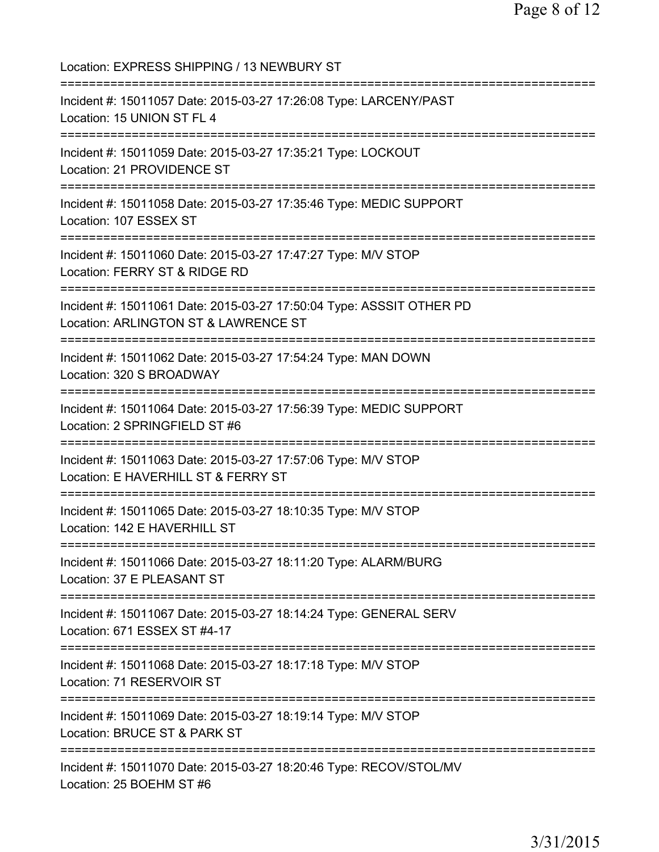Location: EXPRESS SHIPPING / 13 NEWBURY ST =========================================================================== Incident #: 15011057 Date: 2015-03-27 17:26:08 Type: LARCENY/PAST Location: 15 UNION ST FL 4 =========================================================================== Incident #: 15011059 Date: 2015-03-27 17:35:21 Type: LOCKOUT Location: 21 PROVIDENCE ST =========================================================================== Incident #: 15011058 Date: 2015-03-27 17:35:46 Type: MEDIC SUPPORT Location: 107 ESSEX ST =========================================================================== Incident #: 15011060 Date: 2015-03-27 17:47:27 Type: M/V STOP Location: FERRY ST & RIDGE RD =========================================================================== Incident #: 15011061 Date: 2015-03-27 17:50:04 Type: ASSSIT OTHER PD Location: ARLINGTON ST & LAWRENCE ST =========================================================================== Incident #: 15011062 Date: 2015-03-27 17:54:24 Type: MAN DOWN Location: 320 S BROADWAY =========================================================================== Incident #: 15011064 Date: 2015-03-27 17:56:39 Type: MEDIC SUPPORT Location: 2 SPRINGFIELD ST #6 =========================================================================== Incident #: 15011063 Date: 2015-03-27 17:57:06 Type: M/V STOP Location: E HAVERHILL ST & FERRY ST =========================================================================== Incident #: 15011065 Date: 2015-03-27 18:10:35 Type: M/V STOP Location: 142 E HAVERHILL ST =========================================================================== Incident #: 15011066 Date: 2015-03-27 18:11:20 Type: ALARM/BURG Location: 37 E PLEASANT ST =========================================================================== Incident #: 15011067 Date: 2015-03-27 18:14:24 Type: GENERAL SERV Location: 671 ESSEX ST #4-17 =========================================================================== Incident #: 15011068 Date: 2015-03-27 18:17:18 Type: M/V STOP Location: 71 RESERVOIR ST =========================================================================== Incident #: 15011069 Date: 2015-03-27 18:19:14 Type: M/V STOP Location: BRUCE ST & PARK ST =========================================================================== Incident #: 15011070 Date: 2015-03-27 18:20:46 Type: RECOV/STOL/MV Location: 25 BOEHM ST #6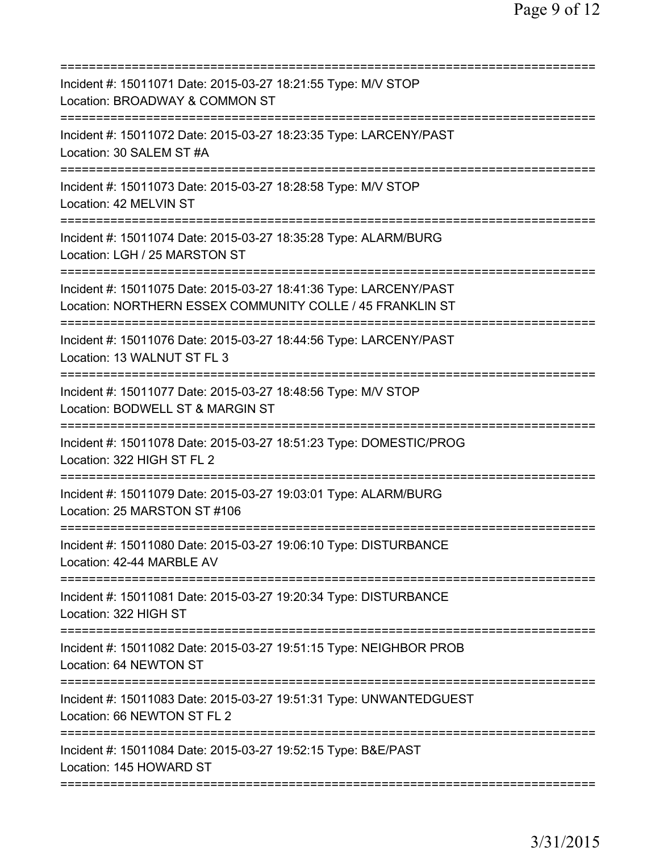| Incident #: 15011071 Date: 2015-03-27 18:21:55 Type: M/V STOP<br>Location: BROADWAY & COMMON ST                                               |
|-----------------------------------------------------------------------------------------------------------------------------------------------|
| Incident #: 15011072 Date: 2015-03-27 18:23:35 Type: LARCENY/PAST<br>Location: 30 SALEM ST #A                                                 |
| Incident #: 15011073 Date: 2015-03-27 18:28:58 Type: M/V STOP<br>Location: 42 MELVIN ST                                                       |
| Incident #: 15011074 Date: 2015-03-27 18:35:28 Type: ALARM/BURG<br>Location: LGH / 25 MARSTON ST                                              |
| ===========<br>Incident #: 15011075 Date: 2015-03-27 18:41:36 Type: LARCENY/PAST<br>Location: NORTHERN ESSEX COMMUNITY COLLE / 45 FRANKLIN ST |
| ================================<br>Incident #: 15011076 Date: 2015-03-27 18:44:56 Type: LARCENY/PAST<br>Location: 13 WALNUT ST FL 3          |
| Incident #: 15011077 Date: 2015-03-27 18:48:56 Type: M/V STOP<br>Location: BODWELL ST & MARGIN ST                                             |
| Incident #: 15011078 Date: 2015-03-27 18:51:23 Type: DOMESTIC/PROG<br>Location: 322 HIGH ST FL 2                                              |
| Incident #: 15011079 Date: 2015-03-27 19:03:01 Type: ALARM/BURG<br>Location: 25 MARSTON ST #106                                               |
| Incident #: 15011080 Date: 2015-03-27 19:06:10 Type: DISTURBANCE<br>Location: 42-44 MARBLE AV                                                 |
| Incident #: 15011081 Date: 2015-03-27 19:20:34 Type: DISTURBANCE<br>Location: 322 HIGH ST                                                     |
| Incident #: 15011082 Date: 2015-03-27 19:51:15 Type: NEIGHBOR PROB<br>Location: 64 NEWTON ST                                                  |
| Incident #: 15011083 Date: 2015-03-27 19:51:31 Type: UNWANTEDGUEST<br>Location: 66 NEWTON ST FL 2                                             |
| Incident #: 15011084 Date: 2015-03-27 19:52:15 Type: B&E/PAST<br>Location: 145 HOWARD ST                                                      |
|                                                                                                                                               |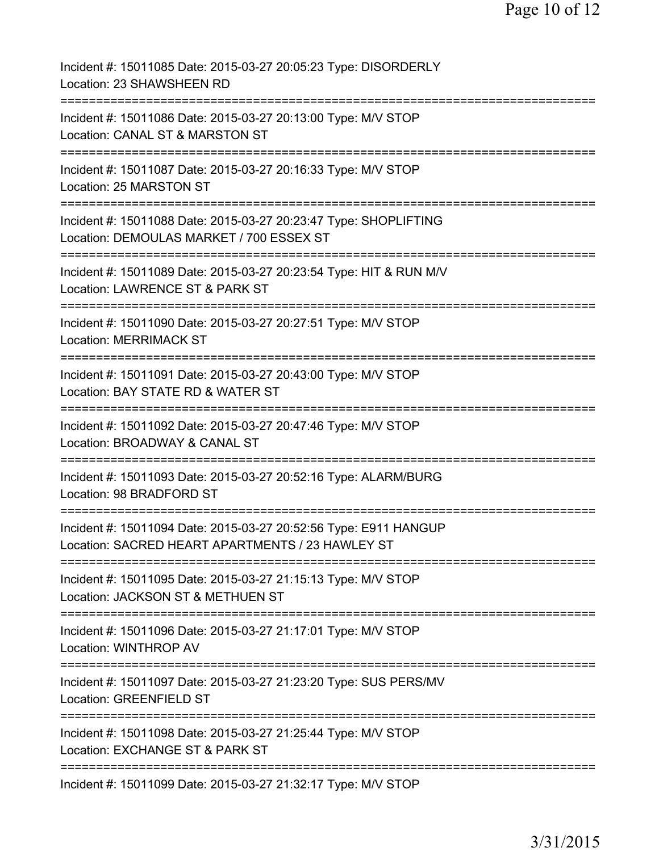| Incident #: 15011085 Date: 2015-03-27 20:05:23 Type: DISORDERLY<br>Location: 23 SHAWSHEEN RD                                               |
|--------------------------------------------------------------------------------------------------------------------------------------------|
| Incident #: 15011086 Date: 2015-03-27 20:13:00 Type: M/V STOP<br>Location: CANAL ST & MARSTON ST                                           |
| Incident #: 15011087 Date: 2015-03-27 20:16:33 Type: M/V STOP<br>Location: 25 MARSTON ST                                                   |
| Incident #: 15011088 Date: 2015-03-27 20:23:47 Type: SHOPLIFTING<br>Location: DEMOULAS MARKET / 700 ESSEX ST                               |
| :=====================<br>Incident #: 15011089 Date: 2015-03-27 20:23:54 Type: HIT & RUN M/V<br>Location: LAWRENCE ST & PARK ST            |
| ===========================<br>=========<br>Incident #: 15011090 Date: 2015-03-27 20:27:51 Type: M/V STOP<br><b>Location: MERRIMACK ST</b> |
| ==============================<br>Incident #: 15011091 Date: 2015-03-27 20:43:00 Type: M/V STOP<br>Location: BAY STATE RD & WATER ST       |
| Incident #: 15011092 Date: 2015-03-27 20:47:46 Type: M/V STOP<br>Location: BROADWAY & CANAL ST                                             |
| Incident #: 15011093 Date: 2015-03-27 20:52:16 Type: ALARM/BURG<br>Location: 98 BRADFORD ST                                                |
| Incident #: 15011094 Date: 2015-03-27 20:52:56 Type: E911 HANGUP<br>Location: SACRED HEART APARTMENTS / 23 HAWLEY ST                       |
| Incident #: 15011095 Date: 2015-03-27 21:15:13 Type: M/V STOP<br>Location: JACKSON ST & METHUEN ST                                         |
| ==============================<br>Incident #: 15011096 Date: 2015-03-27 21:17:01 Type: M/V STOP<br><b>Location: WINTHROP AV</b>            |
| Incident #: 15011097 Date: 2015-03-27 21:23:20 Type: SUS PERS/MV<br>Location: GREENFIELD ST                                                |
| Incident #: 15011098 Date: 2015-03-27 21:25:44 Type: M/V STOP<br>Location: EXCHANGE ST & PARK ST                                           |
| ==========================<br>Incident #: 15011099 Date: 2015-03-27 21:32:17 Type: M/V STOP                                                |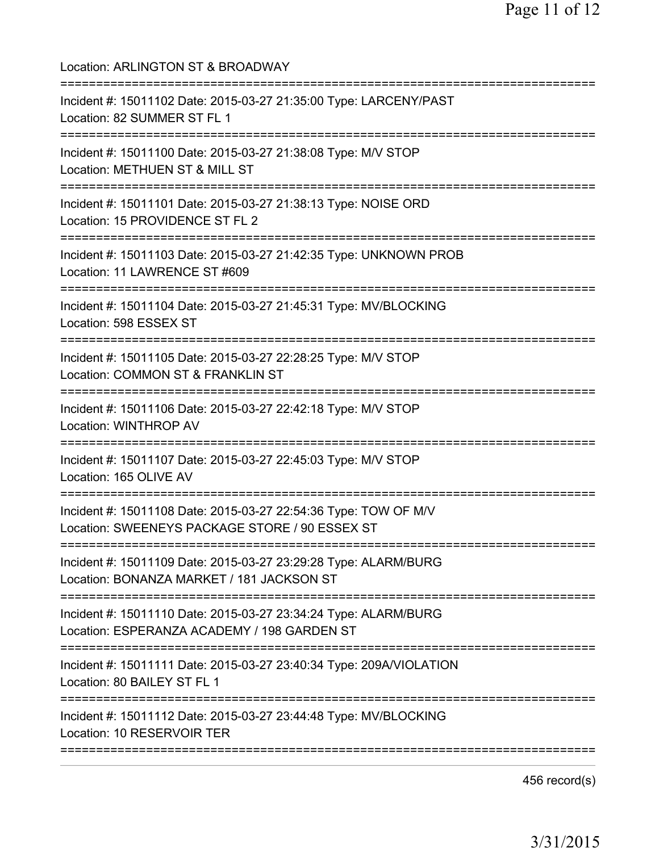| Location: ARLINGTON ST & BROADWAY                                                                                                                                       |
|-------------------------------------------------------------------------------------------------------------------------------------------------------------------------|
| ===============================<br>Incident #: 15011102 Date: 2015-03-27 21:35:00 Type: LARCENY/PAST<br>Location: 82 SUMMER ST FL 1<br>================================ |
| Incident #: 15011100 Date: 2015-03-27 21:38:08 Type: M/V STOP<br>Location: METHUEN ST & MILL ST<br>================================                                     |
| Incident #: 15011101 Date: 2015-03-27 21:38:13 Type: NOISE ORD<br>Location: 15 PROVIDENCE ST FL 2                                                                       |
| Incident #: 15011103 Date: 2015-03-27 21:42:35 Type: UNKNOWN PROB<br>Location: 11 LAWRENCE ST #609                                                                      |
| Incident #: 15011104 Date: 2015-03-27 21:45:31 Type: MV/BLOCKING<br>Location: 598 ESSEX ST                                                                              |
| Incident #: 15011105 Date: 2015-03-27 22:28:25 Type: M/V STOP<br>Location: COMMON ST & FRANKLIN ST                                                                      |
| ===============================<br>Incident #: 15011106 Date: 2015-03-27 22:42:18 Type: M/V STOP<br><b>Location: WINTHROP AV</b>                                        |
| Incident #: 15011107 Date: 2015-03-27 22:45:03 Type: M/V STOP<br>Location: 165 OLIVE AV                                                                                 |
| Incident #: 15011108 Date: 2015-03-27 22:54:36 Type: TOW OF M/V<br>Location: SWEENEYS PACKAGE STORE / 90 ESSEX ST                                                       |
| ===================================<br>Incident #: 15011109 Date: 2015-03-27 23:29:28 Type: ALARM/BURG<br>Location: BONANZA MARKET / 181 JACKSON ST                     |
| Incident #: 15011110 Date: 2015-03-27 23:34:24 Type: ALARM/BURG<br>Location: ESPERANZA ACADEMY / 198 GARDEN ST                                                          |
| Incident #: 15011111 Date: 2015-03-27 23:40:34 Type: 209A/VIOLATION<br>Location: 80 BAILEY ST FL 1                                                                      |
| Incident #: 15011112 Date: 2015-03-27 23:44:48 Type: MV/BLOCKING<br>Location: 10 RESERVOIR TER                                                                          |
|                                                                                                                                                                         |

456 record(s)